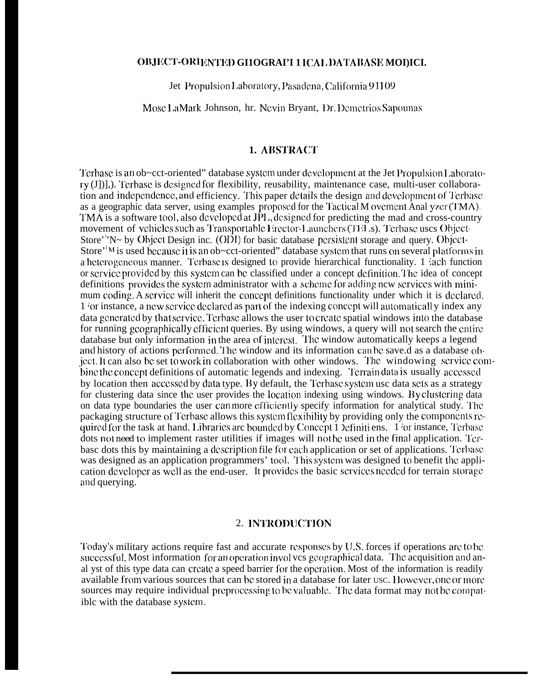#### OBJECT-ORIENTED GI1OGRAPI 1 ICAL DATABASE MOI)ICI.

Jet Propulsion Laboratory, Pasadena, California 91109

Mosc LaMark Johnson, hr. Nevin Bryant, Dr. Demetrios Sapounas

#### **1. ABSTRACT**

Terbase is an ob~cct-oriented" database system under development at the Jet Propulsion Laborato $ry(J),$  Terbase is designed for flexibility, reusability, maintenance case, multi-user collaboration and independence, and efficiency. This paper details the design and development of Terbase as a geographic data server, using examples proposed for the Tactical M ovement Anal yzer (TMA). TMA is a software tool, also developed at JPL, designed for predicting the mad and cross-country movement of vehicles such as Transportable Erector-Launchers (TELs). Terbase uses Object-Store''N~ by Object Design inc. (ODI) for basic database persistent storage and query. Object-Store<sup> $\cdot$ '</sup><sup>M</sup> is used because it is an ob $\sim$ cct-oriented" database system that runs on several platforms in a heterogeneous manner. Terbase is designed to provide hierarchical functionality. 1 sach function or service provided by this system can be classified under a concept definition. The idea of concept definitions provides the system administrator with a scheme for adding new services with minimum coding. A service will inherit the concept definitions functionality under which it is declared. 1 for instance, a new service declared as part of the indexing concept will automatically index any data generated by that service. Terbase allows the user to create spatial windows into the database for running geographically efficient queries. By using windows, a query will not search the entire database but only information in the area of interest. The window automatically keeps a legend and history of actions performed. The window and its information can be save d as a database object. It can also be set to work in collaboration with other windows. The windowing service combine the concept definitions of automatic legends and indexing. Terrain data is usually accessed by location then accessed by data type. By default, the Terbase system use data sets as a strategy for clustering data since the user provides the location indexing using windows. By clustering data on data type boundaries the user can more efficiently specify information for analytical study. The packaging structure of Terbase allows this system flexibility by providing only the components required for the task at hand. Libraries are bounded by Concept 1 Definitions. 1 for instance, Terbase dots not need to implement raster utilities if images will not bc used in the final application. Terbase dots this by maintaining a description file for each application or set of applications. Terbase was designed as an application programmers' tool. This system was designed to benefit the application developer as well as the end-user. It provides the basic services needed for terrain storage and querying.

#### 2. INTRODUCTION

Today's military actions require fast and accurate responses by U.S. forces if operations are to be successful. Most information for an operation involves geographical data. The acquisition and anal yst of this type data can create a speed barrier for the operation. Most of the information is readily available from various sources that can be stored in a database for later usc. However, one or more sources may require individual preprocessing to be valuable. The data format may not be compatible with the database system.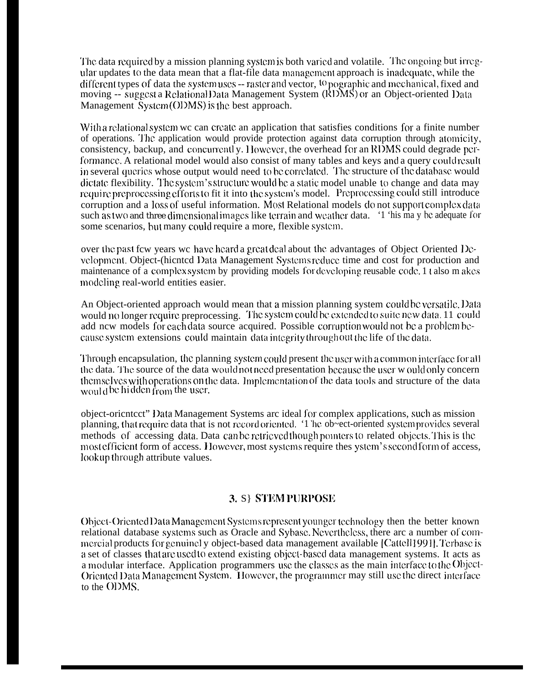The data required by a mission planning system is both varied and volatile. The ongoing but irregular updates to the data mean that a flat-file data managcmcni approach is jnadcquatc, while the different types of data the system uses -- raster and vector, <sup>10</sup> pographic and mechanical, fixed and moving -- suggest a Relational Data Management System (RDMS) or an Object-oriented Data Management Systcm (OIJMS) is Ibc best approach.

With a relational system we can create an application that satisfies conditions for a finite number of operations. The application would provide protection against data corruption through atomicity, consistency, backup, and concurrently. However, the overhead for an RDMS could degrade pcrformance. A relational model would also consist of many tables and keys and a query could result in several queries whose output would need to be correlated. The structure of the databasc would dictate flexibility. The system's structure would be a static model unable to change and data may require preprocessing efforts to fit it into the system's model. Preprocessing could still introduce corruption and a loss of useful information. Most Relational models do not support complex data such as two and three dimensional images like terrain and weather data. '1 'his ma y be adequate for some scenarios, bul many could require a more, flexible systcm.

over the past few years we have heard a great deal about the advantages of Object Oriented  $D_{\mathcal{C}}$ vclopmcnt. Object-(hicntcd IJata Management Systcms reduce time and cost for production and maintenance of a complex system by providing models for developing reusable code. 1 t also m akes modeling real-world entities easier.

An Object-oriented approach would mean that a mission planning system could be versatile. Data would no longer require preprocessing. The system could be extended to suite new data. 11 could add ncw models for each data source acquired. Possible corruption would not be a problem because system extensions could maintain data integrity through out the life of the data.

Through encapsulation, the planning system could present the user with a common interface for all the data. The source of the data would not need presentation because the user w ould only concern themselves with operations on the data. Implementation of the data tools and structure of the data would be hidden from the user.

object-oricntcct" Data Management Systems arc ideal for complex applications, such as mission planning, that require data that is not record oriented. '1 he ob~ect-oriented system provides several methods of accessing data. Data can be retricved though pointers to related objects. This is the most efficient form of access. However, most systems require thes ystem's second form of access, lookup through attribute values.

#### 3. S} STEM PURPOSE

Object-Oriented Data Management Systems represent younger technology then the better known relational database syslcms such as Oracle and Sybasc. Ncvcrlhclcss, there arc a number of commercial products for genuinel y object-based data management available [Cattel]1991]. Terbase is a set of classes that are used to extend existing object-based data management systems. It acts as a modular interface. Application programmers use the classes as the main interface to the Object-Oriented Data Management System. However, the programmer may still use the direct interface to the ODMS.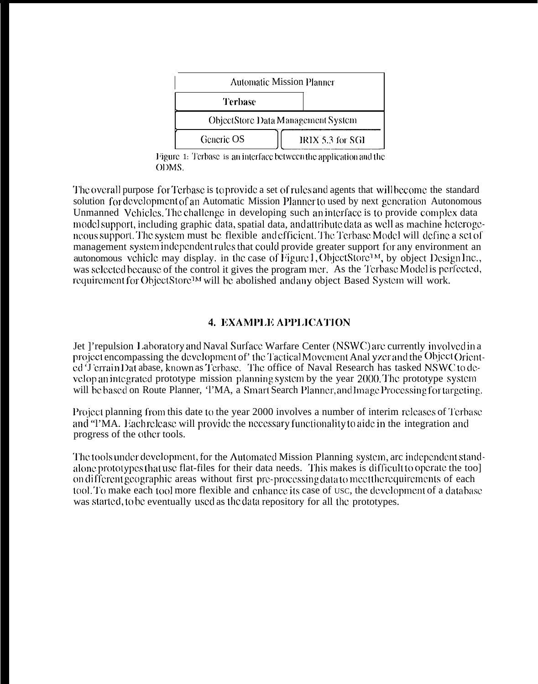| <b>Automatic Mission Planner</b>          |                  |
|-------------------------------------------|------------------|
| Terbase                                   |                  |
| <b>ObjectStore Data Management System</b> |                  |
| Generic OS                                | IRIX 5.3 for SGI |

Figure 1: Terbase is an interface between the application and the ODMS.

The overall purpose for Terbase is to provide a set of rules and agents that will become the standard solution for development of an Automatic Mission Planner to used by next generation Autonomous Unmanned Vehicles. The challenge in developing such an interface is to provide complex data model support, including graphic data, spatial data, and attribute data as well as machine heterogeneous support. The system must be flexible and efficient. The Terbase Model will define a set of management system independent rules that could provide greater support for any environment an autonomous vehicle may display, in the case of Figure 1, ObjectStore<sup>1M</sup>, by object Design Inc., was selected because of the control it gives the program mer. As the Terbase Model is perfected, requirement for ObjectStore<sup>1M</sup> will be abolished and any object Based System will work.

# **4. EXAMPLE APPLICATION**

Jet l'repulsion Laboratory and Naval Surface Warfare Center (NSWC) are currently involved in a project encompassing the development of the Tactical Movement Anal yzer and the Object Oriented 'J'errain Dat abase, known as Terbase. The office of Naval Research has tasked NSWC to develop an integrated prototype mission planning system by the year 2000. The prototype system will be based on Route Planner, TMA, a Smart Search Planner, and Image Processing for targeting.

Project planning from this date to the year 2000 involves a number of interim releases of Terbase and "TMA. Each release will provide the necessary functionality to aide in the integration and progress of the other tools.

The tools under development, for the Automated Mission Planning system, arc independent standalone prototypes that use flat-files for their data needs. This makes is difficult to operate the too] on different geographic areas without first pre-processing data to meetthe requirements of each tool. To make each tool more flexible and enhance its case of usc, the development of a database was started, to be eventually used as the data repository for all the prototypes.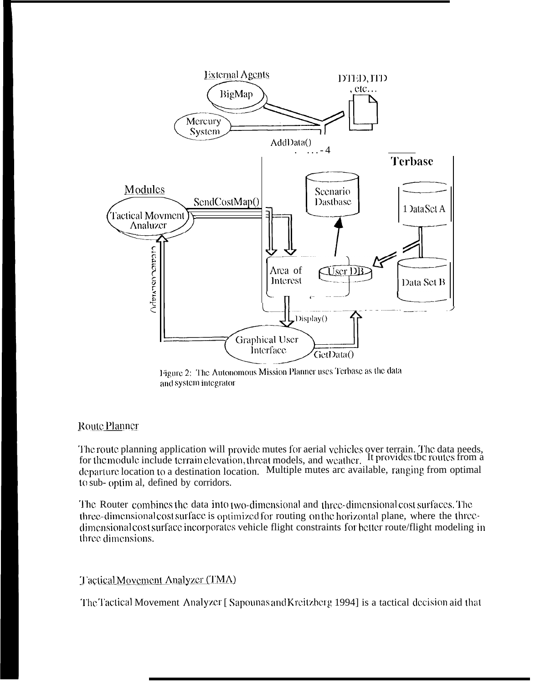

Figure 2: The Autonomous Mission Planner uses Terbase as the data and system integrator

# **Route Planner**

The route planning application will provide mutes for aerial vehicles over terrain. The data needs, for the module include terrain elevation, threat models, and weather. It provides the routes from a departure location to a destination location. Multiple mutes are available, ranging from optimal to sub- optim al, defined by corridors.

The Router combines the data into two-dimensional and three-dimensional cost surfaces. The three-dimensional cost surface is optimized for routing on the horizontal plane, where the threedimensional cost surface incorporates vehicle flight constraints for better route/flight modeling in three dimensions.

# Tactical Movement Analyzer (TMA)

The Tactical Movement Analyzer [Sapounas and Kreitzberg 1994] is a tactical decision aid that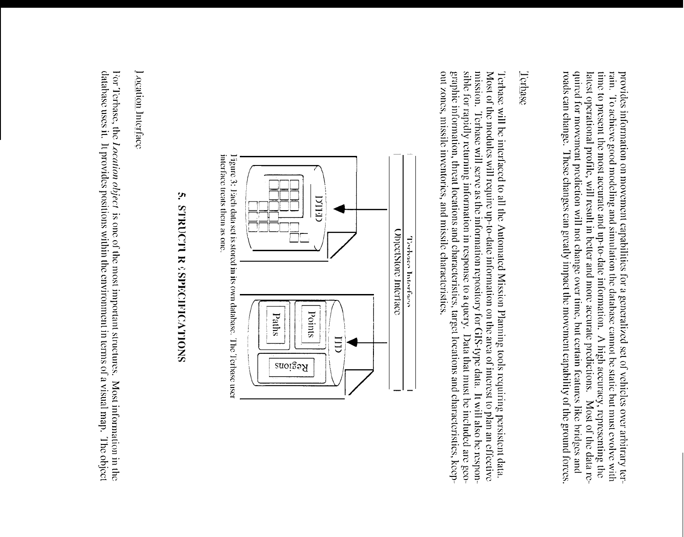quired for movement prediction will not change over time, but certain features like bridges and latest operational profile, will result in better and more accurate predictions. Most of the data retime to present the most accurate and up-to-date information. A high accuracy, representing the rain. To achieve good modeling and simulation the database cannot be static but must evolve with roads can change. These changes can greatly impact the movement capability of the ground forces provides information on movement capabilities for a generalized set of vehicles over arbitrary ter-

# Terbase

mission. Terbase will serve as the information repository for GIS-type data. It will also be respongraphic information, threat locations and characteristics, target locations and characteristics, keepsible for rapidly returning information in response to a query. Data that must be included are geo-Most of the modules will require up-to-date information on the area of interest to plan an effective out zones, missile inventories, and missile characteristics Terbase will be interfaced to all the Automated Mission Planning tools requiring persistent data.



interface treats them as one.  $\overline{1}$ igure 3: Pach data set is stored in its own database. The Terbase user

# ុរា **SNOLLYORIOSIAS > NECESSIONES**

l ocation Interlace

database uses it. It provides positions within the environment in terms of a visual map. The object For Terbase, the *Location object* is one of the most important structures. Most information in the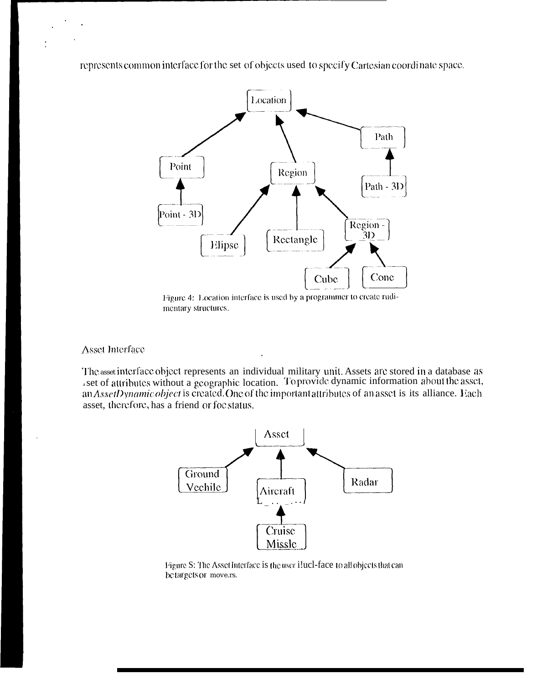represents common interface for the set of objects used to specify Cartesian coordinate space.



Figure 4: Location interface is used by a programmer to create rudimentary structures.

**Asset Interface** 

The asset interface object represents an individual military unit. Assets are stored in a database as set of attributes without a geographic location. To provide dynamic information about the asset, an AssetDynamic object is created. One of the important attributes of an asset is its alliance. Each asset, therefore, has a friend or foc status.



Figure S: The Asset Interface is the user i!ucl-face to all objects that can betargets or move.rs.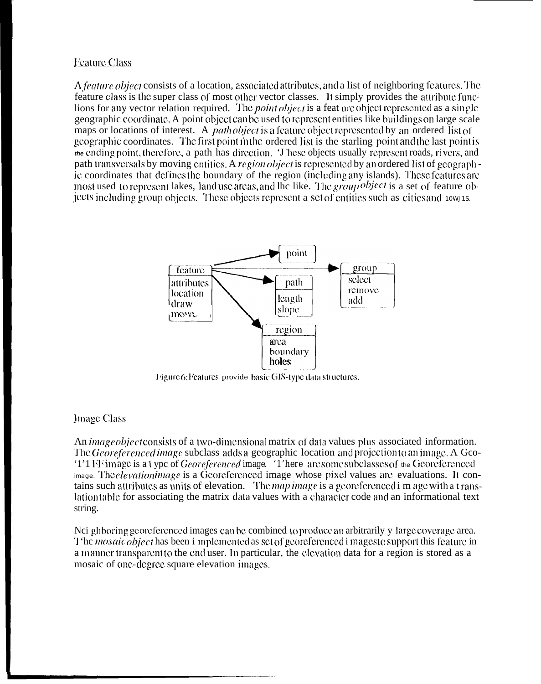# **Feature Class**

A feature object consists of a location, associated attributes, and a list of neighboring features. The feature class is the super class of most other vector classes. It simply provides the attribute funclions for any vector relation required. The *point object* is a feat ure object represented as a single geographic coordinate. A point object can be used to represent entities like buildings on large scale maps or locations of interest. A *path object* is a feature object represented by an ordered list of geographic coordinates. The first point in the ordered list is the starling point and the last point is  $\omega$  the ending point, therefore, a path has direction. These objects usually represent roads, rivers, and path transversals by moving entities. A region object is represented by an ordered list of geographic coordinates that defines the boundary of the region (including any islands). These features are most used to represent lakes, land use areas, and lhe like. The group object is a set of feature objects including group objects. These objects represent a set of entities such as cities and towns.



Figure 6: Features provide basic GIS-type data structures.

# **Image Class**

An *image object* consists of a two-dimensional matrix of data values plus associated information. The Georeferenced image subclass adds a geographic location and projection to an image. A Geo-'1'1 Finage is a type of Georeferenced image. '1'here are some subclasses of the Georeferenced image. The elevation image is a Georeferenced image whose pixel values are evaluations. It contains such attributes as units of elevation. The map image is a georeferenced i m age with a translation table for associating the matrix data values with a character code and an informational text string.

Net ghboring georeferenced images can be combined to produce an arbitrarily y large coverage area. T 'he *mosaic object* has been i mplemented as set of georeferenced i magesto support this feature in a manner transparent to the end user. In particular, the elevation data for a region is stored as a mosaic of one-degree square elevation images.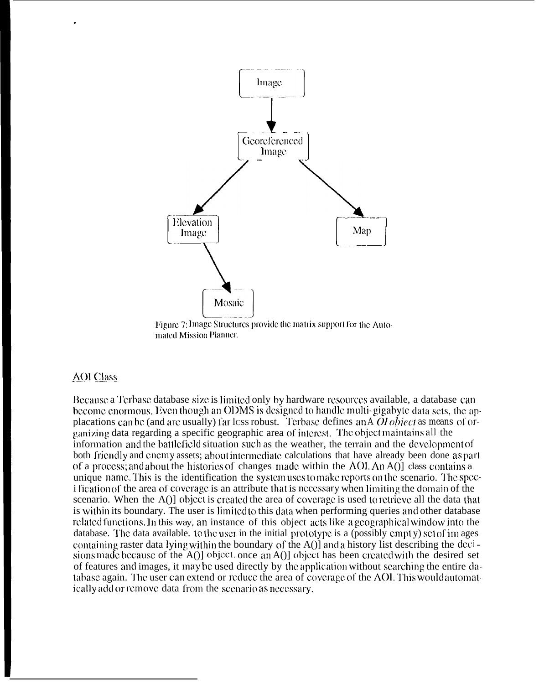

Figure 7: Image Structures provide the matrix support for the Automated Mission Planner.

#### **AOI** Class

Because a Terbase database size is limited only by hardware resources available, a database can become enormous. Even though an ODMS is designed to handle multi-gigabyte data sets, the applacations can be (and are usually) far less robust. Terbase defines an  $\overline{AO}$  object as means of organizing data regarding a specific geographic area of interest. The object maintains all the information and the battlefield situation such as the weather, the terrain and the development of both friendly and enemy assets; about intermediate calculations that have already been done as part of a process; and about the histories of changes made within the AOL An A() class contains a unique name. This is the identification the system uses to make reports on the scenario. The speci fication of the area of coverage is an attribute that is necessary when limiting the domain of the scenario. When the A()] object is created the area of coverage is used to retrieve all the data that is within its boundary. The user is limited to this data when performing queries and other database related functions. In this way, an instance of this object acts like a geographical window into the database. The data available, to the user in the initial prototype is a (possibly empty) set of images containing raster data lying within the boundary of the A() and a history list describing the decisions made because of the A()] object. once an A()] object has been created with the desired set of features and images, it may be used directly by the application without searching the entire database again. The user can extend or reduce the area of coverage of the AOI. This would automatically add or remove data from the scenario as necessary.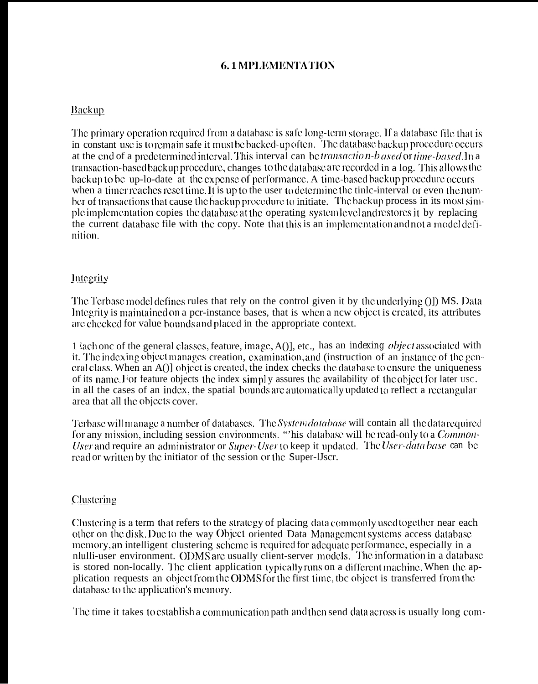# **6.1 MPLEMENTATION**

# **Backup**

The primary operation required from a database is safe long-term storage. If a database file that is in constant use is to remain safe it must be backed-up often. The database backup procedure occurs at the end of a predetermined interval. This interval can be *transaction-b ased* or *time-based*. In a transaction-based backup procedure, changes to the database are recorded in a log. This allows the backup to be up-lo-date at the expense of performance. A time-based backup procedure occurs when a timer reaches reset time. It is up to the user to determine the time-interval or even the number of transactions that cause the backup procedure to initiate. The backup process in its most simple implementation copies the database at the operating system level and restores it by replacing the current database file with the copy. Note that this is an implementation and not a model definition.

# Integrity

The Terbase model defines rules that rely on the control given it by the underlying ()]) MS. Data Integrity is maintained on a per-instance bases, that is when a new object is created, its attributes are checked for value bounds and placed in the appropriate context.

1 lach one of the general classes, feature, image, A()], etc., has an *indexing object* associated with it. The indexing object manages creation, examination, and (instruction of an instance of the general class. When an A()] object is created, the index checks the database to ensure the uniqueness of its name. For feature objects the index simply assures the availability of the object for later usc. in all the cases of an index, the spatial bounds are automatically updated to reflect a rectangular area that all the objects cover.

Terbase will manage a number of databases. The System *database* will contain all the data required for any mission, including session environments. "This database will be read-only to a *Common*-User and require an administrator or Super-User to keep it updated. The User-data base can be read or written by the initiator of the session or the Super-IJscr.

### Clustering

Clustering is a term that refers to the strategy of placing data commonly used together near each other on the disk. Due to the way Object oriented Data Management systems access database memory, an intelligent clustering scheme is required for adequate performance, especially in a nlulli-user environment. ODMS are usually client-server models. The information in a database is stored non-locally. The client application typically runs on a different machine. When the application requests an object from the ODMS for the first time, the object is transferred from the database to the application's memory.

The time it takes to establish a communication path and then send data across is usually long com-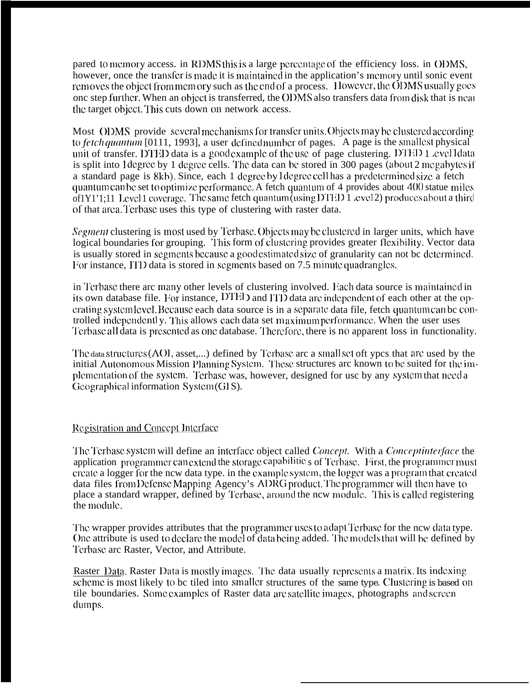pared to memory access. in RDMS this is a large percentage of the efficiency loss. in ODMS, however, once the transfer is made it is maintained in the application's memory until sonic event removes the object from memory such as the end of a process. However, the ODMS usually goes one step further. When an object is transferred, the ODMS also transfers data from disk that is nearthe target object. This cuts down on network access.

Most ODMS provide several mechanisms for transfer units. Objects may be clustered according to fetch quantum [0111, 1993], a user defined number of pages. A page is the smallest physical unit of transfer. DTED data is a good example of the use of page clustering. DTED 1 cyclldata is split into 1 degree by 1 degree cells. The data can be stored in 300 pages (about 2 megabytes if a standard page is 8kb). Since, each 1 degree by 1 degree cell has a predetermined size a fetch quantum can be set to optimize performance. A fetch quantum of 4 provides about 400 statue miles of  $[Y1']$ : 11 Level 1 coverage. The same fetch quantum (using DTED 1 cvel 2) produces about a third of that area. Terbase uses this type of clustering with raster data.

*Segment* clustering is most used by Terbase. Objects may be clustered in larger units, which have logical boundaries for grouping. This form of clustering provides greater flexibility. Vector data is usually stored in segments because a good estimated size of granularity can not be determined. For instance, ITD data is stored in segments based on 7.5 minute quadrangles.

in Terbase there are many other levels of clustering involved. Each data source is maintained in its own database file. For instance, DTED and ITD data are independent of each other at the operating system level. Because each data source is in a separate data file, fetch quantum can be controlled independently. This allows each data set maximum performance. When the user uses Terbase all data is presented as one database. Therefore, there is no apparent loss in functionality.

The data structures (AOI, asset,...) defined by Terbase are a small set oft ypes that are used by the initial Autonomous Mission Planning System. These structures arc known to be suited for the implementation of the system. Terbase was, however, designed for use by any system that need a Geographical information System (GIS).

#### **Registration and Concept Interface**

The Terbase system will define an interface object called Concept. With a Conceptinterface the application programmer can extend the storage capabilitie  $s$  of Terbase. First, the programmer must create a logger for the new data type. in the example system, the logger was a program that created data files from Defense Mapping Agency's ADRG product. The programmer will then have to place a standard wrapper, defined by Terbase, around the new module. This is called registering the module.

The wrapper provides attributes that the programmer uses to adapt Terbase for the new data type. One attribute is used to declare the model of data being added. The models that will be defined by Terbase are Raster, Vector, and Attribute.

Raster Data. Raster Data is mostly images. The data usually represents a matrix. Its indexing scheme is most likely to be tiled into smaller structures of the same type. Clustering is based on tile boundaries. Some examples of Raster data are satellite images, photographs and screen dumps.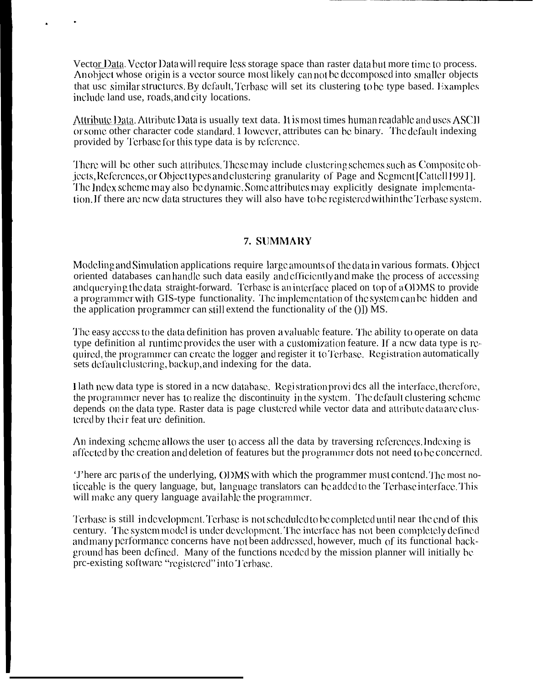Vector Data. Vector Data will require less storage space than raster data but more time to process. An object whose origin is a vector source most likely can not be decomposed into smaller objects that usc similar structures. By default, Terbase will set its clustering to be type based. Examples include land use, roads, and city locations.

.

.

Attribute Data. Attribute Data is usually text data. It is most times human readable and uses ASCII or some other character code standard. 1 lowever, attributes can be binary. The default indexing provided by Tcrbasc for this type data is by reference.

There will be other such attributes. These may include clustering schemes such as Composite objects, References, or Object types and clustering granularity of Page and Segment [Cattell 1991]. The Index scheme may also be dynamic. Some attributes may explicitly designate implementation. If there are new data structures they will also have to be registered within the Terbase system.

#### **7. SIIMMAI{Y**

Modeling and Simulation applications require large amounts of the data in various formats. Object oriented databases can handle such data easily and efficiently and make the process of accessing and querying the data straight-forward. Terbase is an interface placed on top of a ODMS to provide a programmer with GIS-type functionality. The implementation of the system can be hidden and the application programmer can still extend the functionality of the  $($ ]) MS.

The easy access to the data definition has proven a valuable feature. The ability to operate on data type definition al runtime provides the user with a customization feature. If a new data type is required, the programmer can create the logger and register it to Terbase. Registration automatically sets default clustering, backup, and indexing for the data.

1 lath ncw data type is stored in a ncw dalabasc. Rcgi stralion provi dcs all the intcrfacc, thcrcforc, the programmer never has to realize the discontinuity in the system. The default clustering scheme depends on the data type. Raster data is page clustered while vector data and attribute data are clustered by their feat ure definition.

An indexing scheme allows the user to access all the data by traversing references. Indexing is affected by the creation and deletion of features but the programmer dots not need to be concerned.

'J'here arc parts of the underlying, ODMS with which the programmer must contend. The most noliccable is the query language, but, language translators can be added to the Terbasc interface. This will make any query language available the programmer.

Terbase is still in development. Terbase is not scheduled to be completed until near the end of this century. The system model is under development. The interface has not been completely defined and many performance concerns have not been addressed, however, much of its functional background has been defined. Many of the functions needed by the mission planner will initially be prc-existing software "registered" into Terbase.